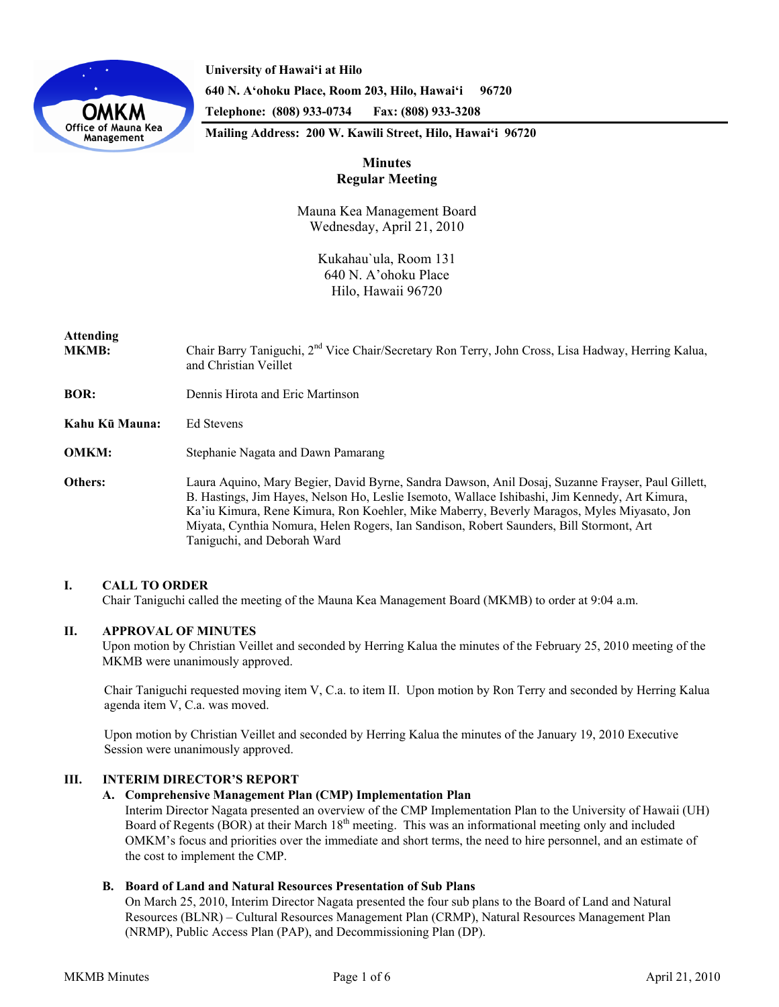

**University of Hawai'i at Hilo 640 N. A'ohoku Place, Room 203, Hilo, Hawai'i 96720 Telephone: (808) 933-0734 Fax: (808) 933-3208** 

**Mailing Address: 200 W. Kawili Street, Hilo, Hawai'i 96720** 

# **Minutes Regular Meeting**

Mauna Kea Management Board Wednesday, April 21, 2010

> Kukahau`ula, Room 131 640 N. A'ohoku Place Hilo, Hawaii 96720

# **Attending**

MKMB: Chair Barry Taniguchi, 2<sup>nd</sup> Vice Chair/Secretary Ron Terry, John Cross, Lisa Hadway, Herring Kalua, and Christian Veillet

**BOR:** Dennis Hirota and Eric Martinson

**Kahu Kū Mauna:** Ed Stevens

**OMKM:** Stephanie Nagata and Dawn Pamarang

**Others:** Laura Aquino, Mary Begier, David Byrne, Sandra Dawson, Anil Dosaj, Suzanne Frayser, Paul Gillett, B. Hastings, Jim Hayes, Nelson Ho, Leslie Isemoto, Wallace Ishibashi, Jim Kennedy, Art Kimura, Ka'iu Kimura, Rene Kimura, Ron Koehler, Mike Maberry, Beverly Maragos, Myles Miyasato, Jon Miyata, Cynthia Nomura, Helen Rogers, Ian Sandison, Robert Saunders, Bill Stormont, Art Taniguchi, and Deborah Ward

# **I. CALL TO ORDER**

Chair Taniguchi called the meeting of the Mauna Kea Management Board (MKMB) to order at 9:04 a.m.

# **II. APPROVAL OF MINUTES**

Upon motion by Christian Veillet and seconded by Herring Kalua the minutes of the February 25, 2010 meeting of the MKMB were unanimously approved.

Chair Taniguchi requested moving item V, C.a. to item II. Upon motion by Ron Terry and seconded by Herring Kalua agenda item V, C.a. was moved.

Upon motion by Christian Veillet and seconded by Herring Kalua the minutes of the January 19, 2010 Executive Session were unanimously approved.

# **III. INTERIM DIRECTOR'S REPORT**

# **A. Comprehensive Management Plan (CMP) Implementation Plan**

Interim Director Nagata presented an overview of the CMP Implementation Plan to the University of Hawaii (UH) Board of Regents (BOR) at their March 18<sup>th</sup> meeting. This was an informational meeting only and included OMKM's focus and priorities over the immediate and short terms, the need to hire personnel, and an estimate of the cost to implement the CMP.

# **B. Board of Land and Natural Resources Presentation of Sub Plans**

On March 25, 2010, Interim Director Nagata presented the four sub plans to the Board of Land and Natural Resources (BLNR) – Cultural Resources Management Plan (CRMP), Natural Resources Management Plan (NRMP), Public Access Plan (PAP), and Decommissioning Plan (DP).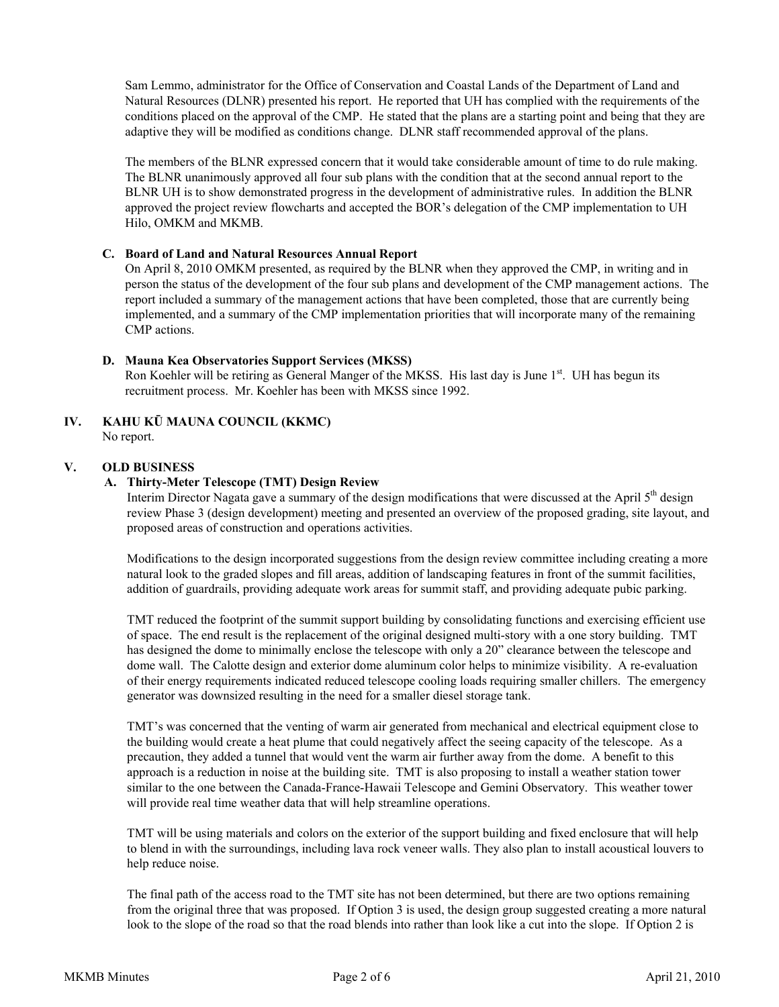Sam Lemmo, administrator for the Office of Conservation and Coastal Lands of the Department of Land and Natural Resources (DLNR) presented his report. He reported that UH has complied with the requirements of the conditions placed on the approval of the CMP. He stated that the plans are a starting point and being that they are adaptive they will be modified as conditions change. DLNR staff recommended approval of the plans.

The members of the BLNR expressed concern that it would take considerable amount of time to do rule making. The BLNR unanimously approved all four sub plans with the condition that at the second annual report to the BLNR UH is to show demonstrated progress in the development of administrative rules. In addition the BLNR approved the project review flowcharts and accepted the BOR's delegation of the CMP implementation to UH Hilo, OMKM and MKMB.

# **C. Board of Land and Natural Resources Annual Report**

 On April 8, 2010 OMKM presented, as required by the BLNR when they approved the CMP, in writing and in person the status of the development of the four sub plans and development of the CMP management actions. The report included a summary of the management actions that have been completed, those that are currently being implemented, and a summary of the CMP implementation priorities that will incorporate many of the remaining CMP actions.

#### **D. Mauna Kea Observatories Support Services (MKSS)**

Ron Koehler will be retiring as General Manger of the MKSS. His last day is June 1<sup>st</sup>. UH has begun its recruitment process. Mr. Koehler has been with MKSS since 1992.

# **IV. KAHU KŪ MAUNA COUNCIL (KKMC)**

No report.

#### **V. OLD BUSINESS**

# **A. Thirty-Meter Telescope (TMT) Design Review**

Interim Director Nagata gave a summary of the design modifications that were discussed at the April 5<sup>th</sup> design review Phase 3 (design development) meeting and presented an overview of the proposed grading, site layout, and proposed areas of construction and operations activities.

Modifications to the design incorporated suggestions from the design review committee including creating a more natural look to the graded slopes and fill areas, addition of landscaping features in front of the summit facilities, addition of guardrails, providing adequate work areas for summit staff, and providing adequate pubic parking.

TMT reduced the footprint of the summit support building by consolidating functions and exercising efficient use of space. The end result is the replacement of the original designed multi-story with a one story building. TMT has designed the dome to minimally enclose the telescope with only a 20" clearance between the telescope and dome wall. The Calotte design and exterior dome aluminum color helps to minimize visibility. A re-evaluation of their energy requirements indicated reduced telescope cooling loads requiring smaller chillers. The emergency generator was downsized resulting in the need for a smaller diesel storage tank.

TMT's was concerned that the venting of warm air generated from mechanical and electrical equipment close to the building would create a heat plume that could negatively affect the seeing capacity of the telescope. As a precaution, they added a tunnel that would vent the warm air further away from the dome. A benefit to this approach is a reduction in noise at the building site. TMT is also proposing to install a weather station tower similar to the one between the Canada-France-Hawaii Telescope and Gemini Observatory. This weather tower will provide real time weather data that will help streamline operations.

TMT will be using materials and colors on the exterior of the support building and fixed enclosure that will help to blend in with the surroundings, including lava rock veneer walls. They also plan to install acoustical louvers to help reduce noise.

The final path of the access road to the TMT site has not been determined, but there are two options remaining from the original three that was proposed. If Option 3 is used, the design group suggested creating a more natural look to the slope of the road so that the road blends into rather than look like a cut into the slope. If Option 2 is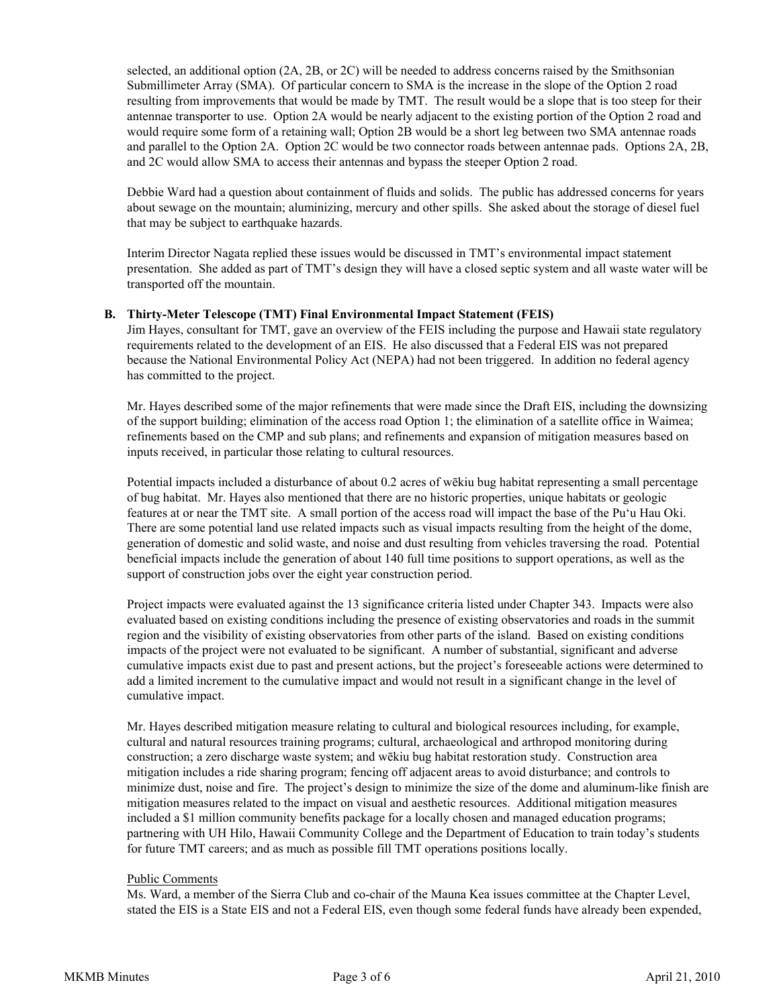selected, an additional option (2A, 2B, or 2C) will be needed to address concerns raised by the Smithsonian Submillimeter Array (SMA). Of particular concern to SMA is the increase in the slope of the Option 2 road resulting from improvements that would be made by TMT. The result would be a slope that is too steep for their antennae transporter to use. Option 2A would be nearly adjacent to the existing portion of the Option 2 road and would require some form of a retaining wall; Option 2B would be a short leg between two SMA antennae roads and parallel to the Option 2A. Option 2C would be two connector roads between antennae pads. Options 2A, 2B, and 2C would allow SMA to access their antennas and bypass the steeper Option 2 road.

Debbie Ward had a question about containment of fluids and solids. The public has addressed concerns for years about sewage on the mountain; aluminizing, mercury and other spills. She asked about the storage of diesel fuel that may be subject to earthquake hazards.

Interim Director Nagata replied these issues would be discussed in TMT's environmental impact statement presentation. She added as part of TMT's design they will have a closed septic system and all waste water will be transported off the mountain.

# **B. Thirty-Meter Telescope (TMT) Final Environmental Impact Statement (FEIS)**

Jim Hayes, consultant for TMT, gave an overview of the FEIS including the purpose and Hawaii state regulatory requirements related to the development of an EIS. He also discussed that a Federal EIS was not prepared because the National Environmental Policy Act (NEPA) had not been triggered. In addition no federal agency has committed to the project.

Mr. Hayes described some of the major refinements that were made since the Draft EIS, including the downsizing of the support building; elimination of the access road Option 1; the elimination of a satellite office in Waimea; refinements based on the CMP and sub plans; and refinements and expansion of mitigation measures based on inputs received, in particular those relating to cultural resources.

Potential impacts included a disturbance of about 0.2 acres of wēkiu bug habitat representing a small percentage of bug habitat. Mr. Hayes also mentioned that there are no historic properties, unique habitats or geologic features at or near the TMT site. A small portion of the access road will impact the base of the Puʻu Hau Oki. There are some potential land use related impacts such as visual impacts resulting from the height of the dome, generation of domestic and solid waste, and noise and dust resulting from vehicles traversing the road. Potential beneficial impacts include the generation of about 140 full time positions to support operations, as well as the support of construction jobs over the eight year construction period.

Project impacts were evaluated against the 13 significance criteria listed under Chapter 343. Impacts were also evaluated based on existing conditions including the presence of existing observatories and roads in the summit region and the visibility of existing observatories from other parts of the island. Based on existing conditions impacts of the project were not evaluated to be significant. A number of substantial, significant and adverse cumulative impacts exist due to past and present actions, but the project's foreseeable actions were determined to add a limited increment to the cumulative impact and would not result in a significant change in the level of cumulative impact.

Mr. Hayes described mitigation measure relating to cultural and biological resources including, for example, cultural and natural resources training programs; cultural, archaeological and arthropod monitoring during construction; a zero discharge waste system; and wēkiu bug habitat restoration study. Construction area mitigation includes a ride sharing program; fencing off adjacent areas to avoid disturbance; and controls to minimize dust, noise and fire. The project's design to minimize the size of the dome and aluminum-like finish are mitigation measures related to the impact on visual and aesthetic resources. Additional mitigation measures included a \$1 million community benefits package for a locally chosen and managed education programs; partnering with UH Hilo, Hawaii Community College and the Department of Education to train today's students for future TMT careers; and as much as possible fill TMT operations positions locally.

# Public Comments

Ms. Ward, a member of the Sierra Club and co-chair of the Mauna Kea issues committee at the Chapter Level, stated the EIS is a State EIS and not a Federal EIS, even though some federal funds have already been expended,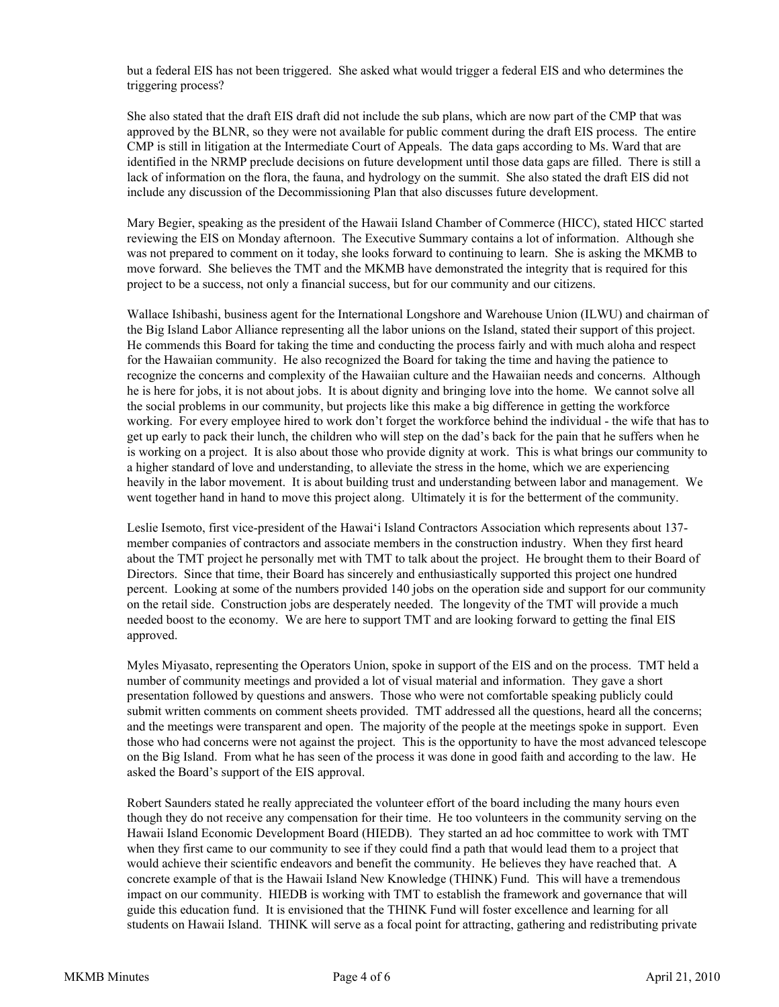but a federal EIS has not been triggered. She asked what would trigger a federal EIS and who determines the triggering process?

She also stated that the draft EIS draft did not include the sub plans, which are now part of the CMP that was approved by the BLNR, so they were not available for public comment during the draft EIS process. The entire CMP is still in litigation at the Intermediate Court of Appeals. The data gaps according to Ms. Ward that are identified in the NRMP preclude decisions on future development until those data gaps are filled. There is still a lack of information on the flora, the fauna, and hydrology on the summit. She also stated the draft EIS did not include any discussion of the Decommissioning Plan that also discusses future development.

Mary Begier, speaking as the president of the Hawaii Island Chamber of Commerce (HICC), stated HICC started reviewing the EIS on Monday afternoon. The Executive Summary contains a lot of information. Although she was not prepared to comment on it today, she looks forward to continuing to learn. She is asking the MKMB to move forward. She believes the TMT and the MKMB have demonstrated the integrity that is required for this project to be a success, not only a financial success, but for our community and our citizens.

Wallace Ishibashi, business agent for the International Longshore and Warehouse Union (ILWU) and chairman of the Big Island Labor Alliance representing all the labor unions on the Island, stated their support of this project. He commends this Board for taking the time and conducting the process fairly and with much aloha and respect for the Hawaiian community. He also recognized the Board for taking the time and having the patience to recognize the concerns and complexity of the Hawaiian culture and the Hawaiian needs and concerns. Although he is here for jobs, it is not about jobs. It is about dignity and bringing love into the home. We cannot solve all the social problems in our community, but projects like this make a big difference in getting the workforce working. For every employee hired to work don't forget the workforce behind the individual - the wife that has to get up early to pack their lunch, the children who will step on the dad's back for the pain that he suffers when he is working on a project. It is also about those who provide dignity at work. This is what brings our community to a higher standard of love and understanding, to alleviate the stress in the home, which we are experiencing heavily in the labor movement. It is about building trust and understanding between labor and management. We went together hand in hand to move this project along. Ultimately it is for the betterment of the community.

Leslie Isemoto, first vice-president of the Hawaiʻi Island Contractors Association which represents about 137 member companies of contractors and associate members in the construction industry. When they first heard about the TMT project he personally met with TMT to talk about the project. He brought them to their Board of Directors. Since that time, their Board has sincerely and enthusiastically supported this project one hundred percent. Looking at some of the numbers provided 140 jobs on the operation side and support for our community on the retail side. Construction jobs are desperately needed. The longevity of the TMT will provide a much needed boost to the economy. We are here to support TMT and are looking forward to getting the final EIS approved.

Myles Miyasato, representing the Operators Union, spoke in support of the EIS and on the process. TMT held a number of community meetings and provided a lot of visual material and information. They gave a short presentation followed by questions and answers. Those who were not comfortable speaking publicly could submit written comments on comment sheets provided. TMT addressed all the questions, heard all the concerns; and the meetings were transparent and open. The majority of the people at the meetings spoke in support. Even those who had concerns were not against the project. This is the opportunity to have the most advanced telescope on the Big Island. From what he has seen of the process it was done in good faith and according to the law. He asked the Board's support of the EIS approval.

Robert Saunders stated he really appreciated the volunteer effort of the board including the many hours even though they do not receive any compensation for their time. He too volunteers in the community serving on the Hawaii Island Economic Development Board (HIEDB). They started an ad hoc committee to work with TMT when they first came to our community to see if they could find a path that would lead them to a project that would achieve their scientific endeavors and benefit the community. He believes they have reached that. A concrete example of that is the Hawaii Island New Knowledge (THINK) Fund. This will have a tremendous impact on our community. HIEDB is working with TMT to establish the framework and governance that will guide this education fund. It is envisioned that the THINK Fund will foster excellence and learning for all students on Hawaii Island. THINK will serve as a focal point for attracting, gathering and redistributing private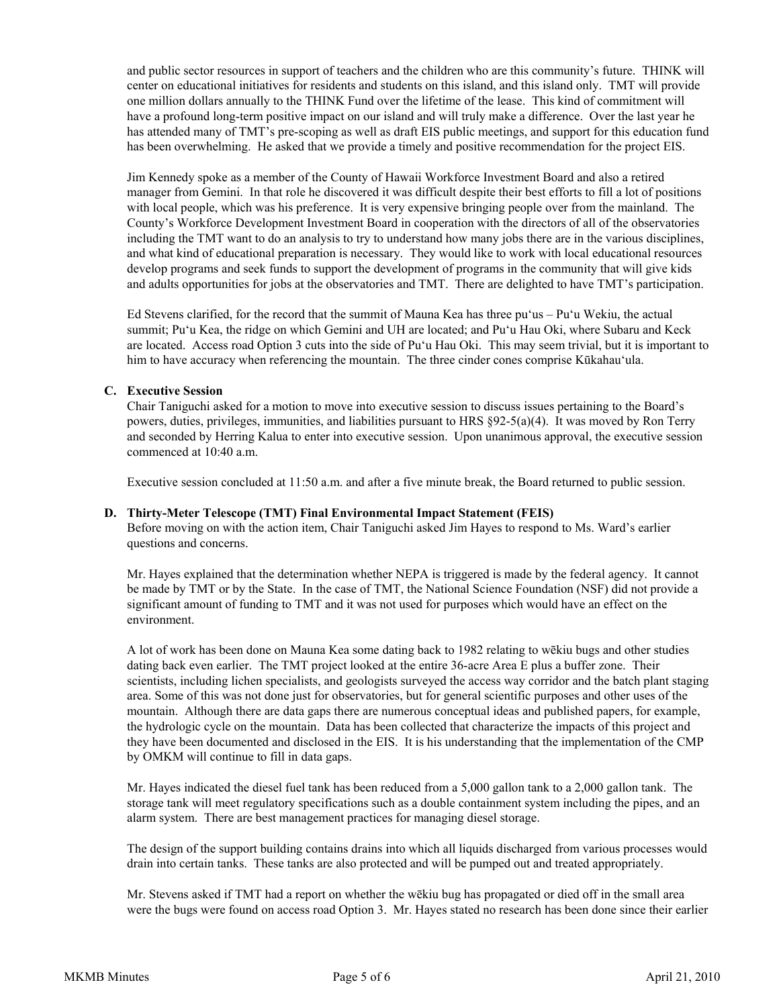and public sector resources in support of teachers and the children who are this community's future. THINK will center on educational initiatives for residents and students on this island, and this island only. TMT will provide one million dollars annually to the THINK Fund over the lifetime of the lease. This kind of commitment will have a profound long-term positive impact on our island and will truly make a difference. Over the last year he has attended many of TMT's pre-scoping as well as draft EIS public meetings, and support for this education fund has been overwhelming. He asked that we provide a timely and positive recommendation for the project EIS.

Jim Kennedy spoke as a member of the County of Hawaii Workforce Investment Board and also a retired manager from Gemini. In that role he discovered it was difficult despite their best efforts to fill a lot of positions with local people, which was his preference. It is very expensive bringing people over from the mainland. The County's Workforce Development Investment Board in cooperation with the directors of all of the observatories including the TMT want to do an analysis to try to understand how many jobs there are in the various disciplines, and what kind of educational preparation is necessary. They would like to work with local educational resources develop programs and seek funds to support the development of programs in the community that will give kids and adults opportunities for jobs at the observatories and TMT. There are delighted to have TMT's participation.

Ed Stevens clarified, for the record that the summit of Mauna Kea has three puʻus – Puʻu Wekiu, the actual summit; Puʻu Kea, the ridge on which Gemini and UH are located; and Puʻu Hau Oki, where Subaru and Keck are located. Access road Option 3 cuts into the side of Puʻu Hau Oki. This may seem trivial, but it is important to him to have accuracy when referencing the mountain. The three cinder cones comprise Kūkahauʻula.

# **C. Executive Session**

Chair Taniguchi asked for a motion to move into executive session to discuss issues pertaining to the Board's powers, duties, privileges, immunities, and liabilities pursuant to HRS §92-5(a)(4). It was moved by Ron Terry and seconded by Herring Kalua to enter into executive session. Upon unanimous approval, the executive session commenced at  $10:40$  a.m.

Executive session concluded at 11:50 a.m. and after a five minute break, the Board returned to public session.

# **D. Thirty-Meter Telescope (TMT) Final Environmental Impact Statement (FEIS)**

Before moving on with the action item, Chair Taniguchi asked Jim Hayes to respond to Ms. Ward's earlier questions and concerns.

Mr. Hayes explained that the determination whether NEPA is triggered is made by the federal agency. It cannot be made by TMT or by the State. In the case of TMT, the National Science Foundation (NSF) did not provide a significant amount of funding to TMT and it was not used for purposes which would have an effect on the environment.

A lot of work has been done on Mauna Kea some dating back to 1982 relating to wēkiu bugs and other studies dating back even earlier. The TMT project looked at the entire 36-acre Area E plus a buffer zone. Their scientists, including lichen specialists, and geologists surveyed the access way corridor and the batch plant staging area. Some of this was not done just for observatories, but for general scientific purposes and other uses of the mountain. Although there are data gaps there are numerous conceptual ideas and published papers, for example, the hydrologic cycle on the mountain. Data has been collected that characterize the impacts of this project and they have been documented and disclosed in the EIS. It is his understanding that the implementation of the CMP by OMKM will continue to fill in data gaps.

Mr. Hayes indicated the diesel fuel tank has been reduced from a 5,000 gallon tank to a 2,000 gallon tank. The storage tank will meet regulatory specifications such as a double containment system including the pipes, and an alarm system. There are best management practices for managing diesel storage.

The design of the support building contains drains into which all liquids discharged from various processes would drain into certain tanks. These tanks are also protected and will be pumped out and treated appropriately.

Mr. Stevens asked if TMT had a report on whether the wēkiu bug has propagated or died off in the small area were the bugs were found on access road Option 3. Mr. Hayes stated no research has been done since their earlier